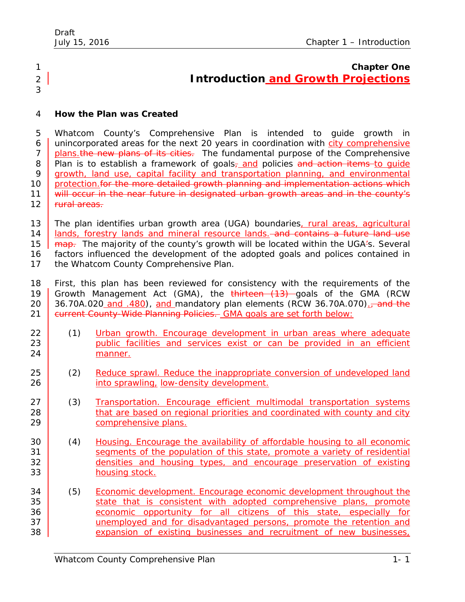3

# 1 **Chapter One** 2 **Introduction and Growth Projections**

# 4 **How the Plan was Created**

5 Whatcom County's Comprehensive Plan is intended to guide growth in 6 unincorporated areas for the next 20 years in coordination with city comprehensive 7 plans the new plans of its cities. The fundamental purpose of the Comprehensive 8 Plan is to establish a framework of goals<sub> $\tau$ </sub> and policies and action items to quide 9 growth, land use, capital facility and transportation planning, and environmental 10 protection for the more detailed growth planning and implementation actions which 11 will occur in the near future in designated urban growth areas and in the county's 12 <del>rural areas.</del>

- 13 The plan identifies urban growth area (UGA) boundaries, rural areas, agricultural 14 **| lands, forestry lands and mineral resource lands.** and contains a future land use 15 **map.** The majority of the county's growth will be located within the UGA's. Several 16 factors influenced the development of the adopted goals and polices contained in 17 the Whatcom County Comprehensive Plan.
- 18 First, this plan has been reviewed for consistency with the requirements of the 19 Growth Management Act (GMA), the thirteen (13) goals of the GMA (RCW 20 36.70A.020 and  $.480$ , and mandatory plan elements (RCW 36.70A.070) $\frac{1}{10}$  and the 21 **current County-Wide Planning Policies.** GMA goals are set forth below:
- 22 (1) Urban growth. Encourage development in urban areas where adequate 23 **public facilities and services exist or can be provided in an efficient** 24 manner.
- 25 (2) Reduce sprawl. Reduce the inappropriate conversion of undeveloped land 26 **into sprawling, low-density development.**
- 27 (3) Transportation. Encourage efficient multimodal transportation systems 28 **that are based on regional priorities and coordinated with county and city** 29 **comprehensive plans.**
- 30 (4) Housing. Encourage the availability of affordable housing to all economic 31 segments of the population of this state, promote a variety of residential 32 **densities and housing types, and encourage preservation of existing** 33 housing stock.
- 34 (5) Economic development. Encourage economic development throughout the 35 state that is consistent with adopted comprehensive plans, promote 36 economic opportunity for all citizens of this state, especially for 37 unemployed and for disadvantaged persons, promote the retention and 38 expansion of existing businesses and recruitment of new businesses,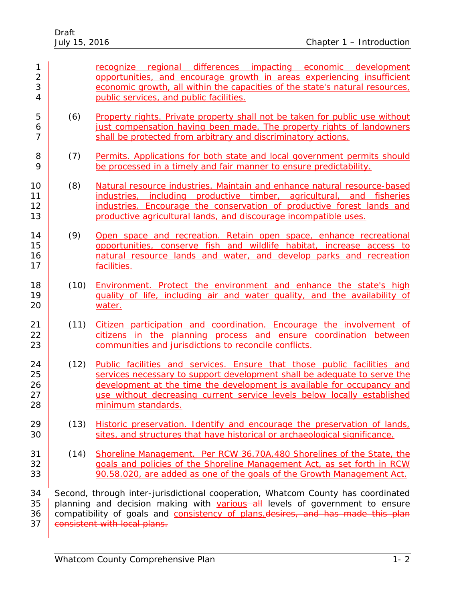| 1<br>$\overline{2}$<br>3<br>4 |      | recognize regional differences impacting economic development<br>opportunities, and encourage growth in areas experiencing insufficient<br>economic growth, all within the capacities of the state's natural resources,<br>public services, and public facilities.                                                             |  |  |  |  |  |  |
|-------------------------------|------|--------------------------------------------------------------------------------------------------------------------------------------------------------------------------------------------------------------------------------------------------------------------------------------------------------------------------------|--|--|--|--|--|--|
| 5<br>6<br>7                   | (6)  | <b>Property rights. Private property shall not be taken for public use without</b><br>just compensation having been made. The property rights of landowners<br>shall be protected from arbitrary and discriminatory actions.                                                                                                   |  |  |  |  |  |  |
| 8<br>9                        | (7)  | Permits. Applications for both state and local government permits should<br>be processed in a timely and fair manner to ensure predictability.                                                                                                                                                                                 |  |  |  |  |  |  |
| 10<br>11<br>12<br>13          | (8)  | Natural resource industries. Maintain and enhance natural resource-based<br>industries, including productive timber, agricultural, and fisheries<br>industries. Encourage the conservation of productive forest lands and<br>productive agricultural lands, and discourage incompatible uses.                                  |  |  |  |  |  |  |
| 14<br>15<br>16<br>17          | (9)  | Open space and recreation. Retain open space, enhance recreational<br>opportunities, conserve fish and wildlife habitat, increase access to<br>natural resource lands and water, and develop parks and recreation<br>facilities.                                                                                               |  |  |  |  |  |  |
| 18<br>19<br>20                | (10) | Environment. Protect the environment and enhance the state's high<br>guality of life, including air and water quality, and the availability of<br>water.                                                                                                                                                                       |  |  |  |  |  |  |
| 21<br>22<br>23                | (11) | Citizen participation and coordination. Encourage the involvement of<br>citizens in the planning process and ensure coordination between<br>communities and jurisdictions to reconcile conflicts.                                                                                                                              |  |  |  |  |  |  |
| 24<br>25<br>26<br>27<br>28    | (12) | Public facilities and services. Ensure that those public facilities and<br>services necessary to support development shall be adequate to serve the<br>development at the time the development is available for occupancy and<br>use without decreasing current service levels below locally established<br>minimum standards. |  |  |  |  |  |  |
| 29<br>30                      | (13) | Historic preservation. Identify and encourage the preservation of lands,<br>sites, and structures that have historical or archaeological significance.                                                                                                                                                                         |  |  |  |  |  |  |
| 31<br>32<br>33                | (14) | Shoreline Management. Per RCW 36.70A.480 Shorelines of the State, the<br>goals and policies of the Shoreline Management Act, as set forth in RCW<br>90.58.020, are added as one of the goals of the Growth Management Act.                                                                                                     |  |  |  |  |  |  |
| 34<br>35<br>36<br>37          |      | Second, through inter-jurisdictional cooperation, Whatcom County has coordinated<br>planning and decision making with various-all levels of government to ensure<br>compatibility of goals and consistency of plans desires, and has made this plan<br>consistent with local plans.                                            |  |  |  |  |  |  |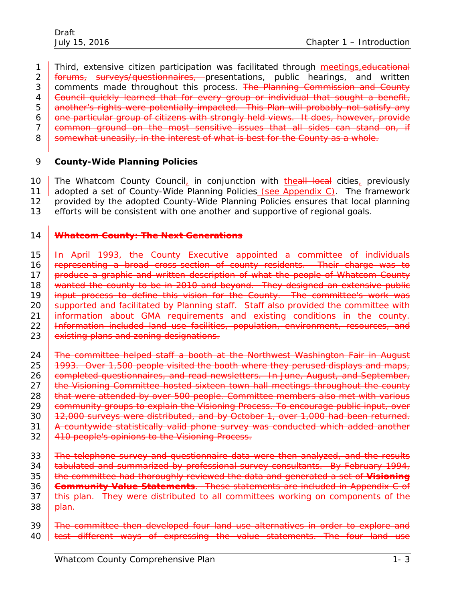1 Third, extensive citizen participation was facilitated through meetings, educational 2 <del>forums, surveys/questionnaires, p</del>resentations, public hearings, and written 3 comments made throughout this process. The Planning Commission and County 4 Council quickly learned that for every group or individual that sought a benefit, 5 | another's rights were potentially impacted. This Plan will probably not satisfy any 6 | <del>one particular group of citizens with strongly held views. It does, however, provide</del> 7 common ground on the most sensitive issues that all sides can stand on, if 8 somewhat uneasily, in the interest of what is best for the County as a whole.

# 9 **County-Wide Planning Policies**

10 The Whatcom County Council, in conjunction with the all local cities, previously 11 adopted a set of County-Wide Planning Policies (see Appendix C). The framework 12 provided by the adopted County-Wide Planning Policies ensures that local planning 13 efforts will be consistent with one another and supportive of regional goals.

# 14 **Whatcom County: The Next Generations**

15 | In April 1993, the County Executive appointed a committee of individuals 16 **representing a broad cross-section of county residents.** Their charge was to 17 produce a graphic and written description of what the people of Whatcom County 18 wanted the county to be in 2010 and beyond. They designed an extensive public 19 | input process to define this vision for the County. The committee's work was 20 supported and facilitated by Planning staff. Staff also provided the committee with 21 | information about GMA requirements and existing conditions in the county. 22 | Information included land use facilities, population, environment, resources, and 23 existing plans and zoning designations. 24 The committee helped staff a booth at the Northwest Washington Fair in August 25 1993. Over 1,500 people visited the booth where they perused displays and maps,

**completed questionnaires, and read newsletters. In June, August, and September, the Visioning Committee hosted sixteen town hall meetings throughout the county** 28 that were attended by over 500 people. Committee members also met with various **community groups to explain the Visioning Process. To encourage public input, over** 

- 30 12,000 surveys were distributed, and by October 1, over 1,000 had been returned. 31 A countywide statistically valid phone survey was conducted which added another
- 32 410 people's opinions to the Visioning Process.

33 The telephone survey and questionnaire data were then analyzed, and the results **| tabulated and summarized by professional survey consultants. By February 1994**, the committee had thoroughly reviewed the data and generated a set of *Visioning Community Value Statements*. These statements are included in Appendix C of 37 | this plan. They were distributed to all committees working on components of the  $\vert$  <del>plan.</del>

<sup>39</sup> The committee then developed four land use alternatives in order to explore and 40 test different ways of expressing the value statements. The four land use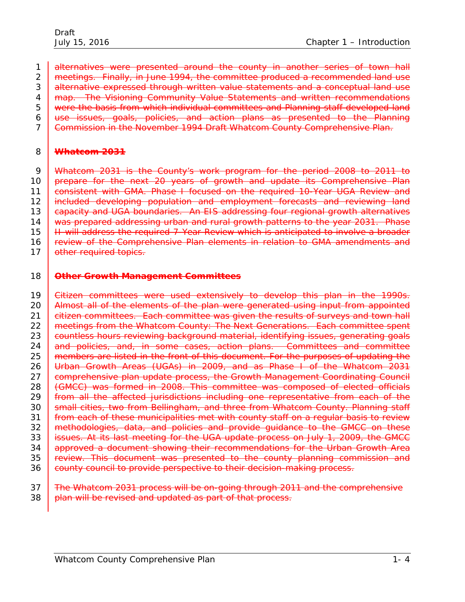1 alternatives were presented around the county in another series of town hall 2 meetings. Finally, in June 1994, the committee produced a recommended land use 3 alternative expressed through written value statements and a conceptual land use 4 **map. The Visioning Community Value Statements and written recommendations** 5 were the basis from which individual committees and Planning staff developed land

- 6 use issues, goals, policies, and action plans as presented to the Planning
- 7 Commission in the November 1994 *Draft Whatcom County Comprehensive Plan*.

# 8 **Whatcom 2031**

9 *Whatcom 2031* is the County's work program for the period 2008 to 2011 to 10 **prepare for the next 20 years of growth and update its Comprehensive Plan** 11 **consistent with GMA. Phase I focused on the required 10-Year UGA Review and** 12 | included developing population and employment forecasts and reviewing land 13 **capacity and UGA boundaries. An EIS addressing four regional growth alternatives** 14 was prepared addressing urban and rural growth patterns to the year 2031. Phase 15 | H will address the required 7-Year Review which is anticipated to involve a broader 16 <u>Feview of the Comprehensive Plan elements in relation to GMA amendments and</u> 17 **other required topics.** 

# 18 **Other Growth Management Committees**

19 Gitizen committees were used extensively to develop this plan in the 1990s. 20 Almost all of the elements of the plan were generated using input from appointed 21 *eitizen committees.* Each committee was given the results of surveys and town hall 22 meetings from the *Whatcom County: The Next Generations*. Each committee spent 23 countless hours reviewing background material, identifying issues, generating goals 24 and policies, and, in some cases, action plans. Committees and committee 25 members are listed in the front of this document. For the purposes of updating the 26 Urban Growth Areas (UGAs) in 2009, and as Phase I of the *Whatcom 2031* 27 comprehensive plan update process, the Growth Management Coordinating Council 28 GMCC) was formed in 2008. This committee was composed of elected officials 29 **From all the affected jurisdictions including one representative from each of the** 30 **small cities, two from Bellingham, and three from Whatcom County. Planning staff** 31 from each of these municipalities met with county staff on a regular basis to review 32 methodologies, data, and policies and provide guidance to the GMCC on these 33 | issues. At its last meeting for the UGA update process on July 1, 2009, the GMCC 34 approved a document showing their recommendations for the Urban Growth Area 35 **Feview. This document was presented to the county planning commission and** 36 county council to provide perspective to their decision-making process.

38 **plan will be revised and updated as part of that process.** 

<sup>37</sup> The Whatcom 2031 process will be on-going through 2011 and the comprehensive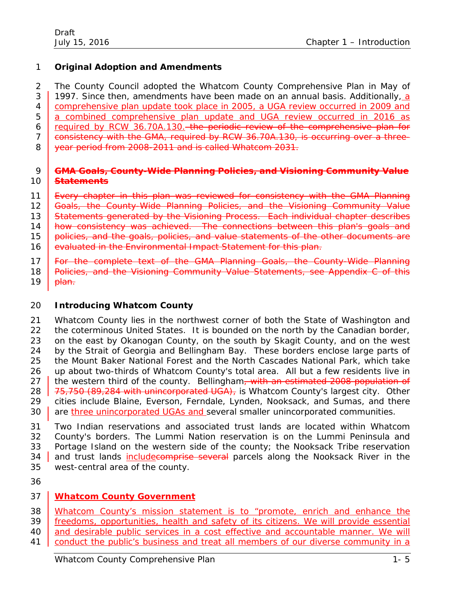# 1 **Original Adoption and Amendments**

2 The County Council adopted the Whatcom County Comprehensive Plan in May of 3 1997. Since then, amendments have been made on an annual basis. Additionally, a 4 comprehensive plan update took place in 2005, a UGA review occurred in 2009 and 5 a combined comprehensive plan update and UGA review occurred in 2016 as 6 required by RCW 36.70A.130. the periodic review of the comprehensive plan for 7 **consistency with the GMA, required by RCW 36.70A.130, is occurring over a three-**8 year period from 2008-2011 and is called *Whatcom 2031*.

# 9 **GMA Goals, County-Wide Planning Policies, and Visioning Community Value**  10 **Statements**

 Every chapter in this plan was reviewed for consistency with the *GMA Planning Goals*, *the County-Wide Planning Policies*, and *the Visioning Community Value Statements* generated by the Visioning Process. Each individual chapter describes **how consistency was achieved. The connections between this plan's goals and** 15 policies, and the goals, policies, and value statements of the other documents are evaluated in the *Environmental Impact Statement* for this plan. 17 | For the complete text of the GMA Planning Goals, the County-Wide Planning

18 | Policies, and the Visioning Community Value Statements, see Appendix C of this

19 | <del>plan.</del>

# 20 **Introducing Whatcom County**

21 Whatcom County lies in the northwest corner of both the State of Washington and 22 the coterminous United States. It is bounded on the north by the Canadian border, 23 on the east by Okanogan County, on the south by Skagit County, and on the west 24 by the Strait of Georgia and Bellingham Bay. These borders enclose large parts of 25 the Mount Baker National Forest and the North Cascades National Park, which take 26 up about two-thirds of Whatcom County's total area. All but a few residents live in 27 the western third of the county. Bellingham<del>, with an estimated 2008 population of</del> 28  $\sqrt{75,750}$  (89,284 with unincorporated UGA), is Whatcom County's largest city. Other 29 cities include Blaine, Everson, Ferndale, Lynden, Nooksack, and Sumas, and there 30 are three unincorporated UGAs and several smaller unincorporated communities.

 Two Indian reservations and associated trust lands are located within Whatcom County's borders. The Lummi Nation reservation is on the Lummi Peninsula and Portage Island on the western side of the county; the Nooksack Tribe reservation 34 and trust lands includecomprise several parcels along the Nooksack River in the west-central area of the county.

36

# 37 **Whatcom County Government**

38 Whatcom County's mission statement is to "promote, enrich and enhance the 39 freedoms, opportunities, health and safety of its citizens. We will provide essential

- 40 and desirable public services in a cost effective and accountable manner. We will
- 41 <u>conduct the public's business and treat all members of our diverse community in a</u>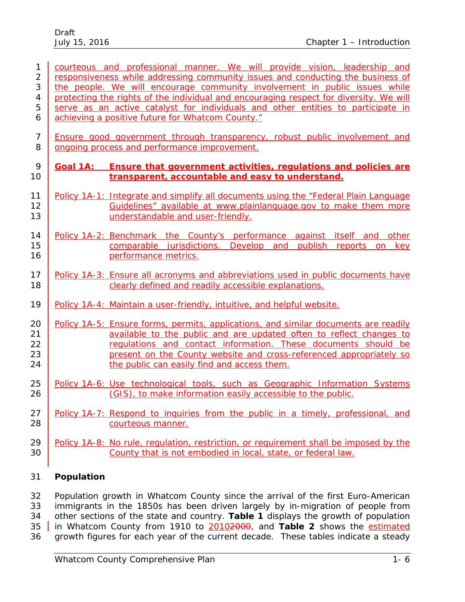| 1                        | courteous and professional manner. We will provide vision, leadership and                                                       |
|--------------------------|---------------------------------------------------------------------------------------------------------------------------------|
| $\overline{2}$           | responsiveness while addressing community issues and conducting the business of                                                 |
| 3                        | the people. We will encourage community involvement in public issues while                                                      |
| $\overline{\mathcal{A}}$ | protecting the rights of the individual and encouraging respect for diversity. We will                                          |
| 5                        | serve as an active catalyst for individuals and other entities to participate in                                                |
| 6                        | achieving a positive future for Whatcom County."                                                                                |
| $\overline{7}$           | Ensure good government through transparency, robust public involvement and                                                      |
| 8                        | ongoing process and performance improvement.                                                                                    |
| 9<br>10                  | Goal 1A:<br>Ensure that government activities, regulations and policies are<br>transparent, accountable and easy to understand. |
| 11                       | <b>Policy 1A-1: Integrate and simplify all documents using the "Federal Plain Language"</b>                                     |
| 12                       | Guidelines" available at www.plainlanguage.gov to make them more                                                                |
| 13                       | understandable and user-friendly.                                                                                               |
| 14                       | Policy 1A-2: Benchmark the County's performance against itself and other                                                        |
| 15                       | comparable jurisdictions. Develop and publish reports on key                                                                    |
| 16                       | performance metrics.                                                                                                            |
| 17                       | Policy 1A-3: Ensure all acronyms and abbreviations used in public documents have                                                |
| 18                       | clearly defined and readily accessible explanations.                                                                            |
| 19                       | Policy 1A-4: Maintain a user-friendly, intuitive, and helpful website.                                                          |
| 20                       | Policy 1A-5: Ensure forms, permits, applications, and similar documents are readily                                             |
| 21                       | available to the public and are updated often to reflect changes to                                                             |
| 22                       | regulations and contact information. These documents should be                                                                  |
| 23                       | present on the County website and cross-referenced appropriately so                                                             |
| 24                       | the public can easily find and access them.                                                                                     |
| 25                       | Policy 1A-6: Use technological tools, such as Geographic Information Systems                                                    |
| 26                       | (GIS), to make information easily accessible to the public.                                                                     |
| 27                       | Policy 1A-7: Respond to inquiries from the public in a timely, professional, and                                                |
| 28                       | courteous manner.                                                                                                               |
| 29                       | Policy 1A-8: No rule, regulation, restriction, or requirement shall be imposed by the                                           |
| 30                       | County that is not embodied in local, state, or federal law.                                                                    |
| 31                       | Population                                                                                                                      |

 Population growth in Whatcom County since the arrival of the first Euro-American immigrants in the 1850s has been driven largely by in-migration of people from other sections of the state and country. **Table 1** displays the growth of population in Whatcom County from 1910 to 20102000, and **Table 2** shows the estimated 36 growth figures for each year of the current decade. These tables indicate a steady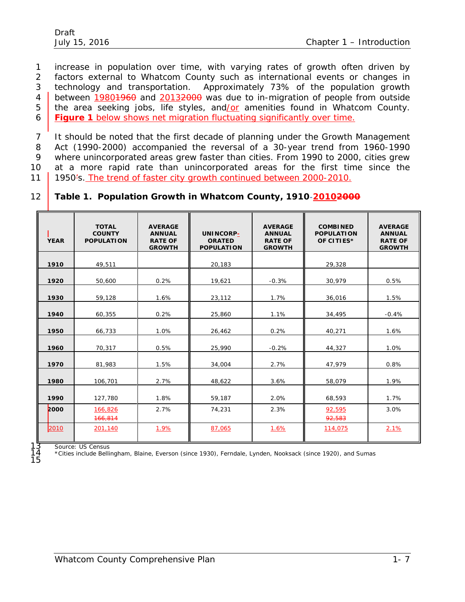increase in population over time, with varying rates of growth often driven by factors external to Whatcom County such as international events or changes in technology and transportation. Approximately 73% of the population growth 4 between 1980<del>1960</del> and 2013<del>2000</del> was due to in-migration of people from outside the area seeking jobs, life styles, and/or amenities found in Whatcom County. **Figure 1** below shows net migration fluctuating significantly over time.

7 It should be noted that the first decade of planning under the Growth Management 8 Act (1990-2000) accompanied the reversal of a 30-year trend from 1960-1990 9 where unincorporated areas grew faster than cities. From 1990 to 2000, cities grew 10 at a more rapid rate than unincorporated areas for the first time since the 11 1950's. The trend of faster city growth continued between 2000-2010.

|  |  | 12 Table 1. Population Growth in Whatcom County, 1910-20102000 |  |  |  |  |  |
|--|--|----------------------------------------------------------------|--|--|--|--|--|
|--|--|----------------------------------------------------------------|--|--|--|--|--|

| <b>YEAR</b> | <b>TOTAL</b><br><b>COUNTY</b><br><b>POPULATION</b> | <b>AVERAGE</b><br><b>ANNUAL</b><br><b>RATE OF</b><br><b>GROWTH</b> | UNINCORP-<br><b>ORATED</b><br><b>POPULATION</b> | <b>AVERAGE</b><br><b>ANNUAL</b><br><b>RATE OF</b><br><b>GROWTH</b> | <b>COMBINED</b><br><b>POPULATION</b><br>OF CITIES* | <b>AVERAGE</b><br><b>ANNUAL</b><br><b>RATE OF</b><br><b>GROWTH</b> |
|-------------|----------------------------------------------------|--------------------------------------------------------------------|-------------------------------------------------|--------------------------------------------------------------------|----------------------------------------------------|--------------------------------------------------------------------|
| 1910        | 49,511                                             |                                                                    | 20,183                                          |                                                                    | 29,328                                             |                                                                    |
| 1920        | 50,600                                             | 0.2%                                                               | 19,621                                          | $-0.3%$                                                            | 30,979                                             | 0.5%                                                               |
| 1930        | 59,128                                             | 1.6%                                                               | 23,112                                          | 1.7%                                                               | 36,016                                             | 1.5%                                                               |
| 1940        | 60,355                                             | 0.2%                                                               | 25,860                                          | 1.1%                                                               | 34,495                                             | $-0.4%$                                                            |
| 1950        | 66,733                                             | 1.0%                                                               | 26,462                                          | 0.2%                                                               | 40,271                                             | 1.6%                                                               |
| 1960        | 70,317                                             | 0.5%                                                               | 25,990                                          | $-0.2%$                                                            | 44,327                                             | 1.0%                                                               |
| 1970        | 81,983                                             | 1.5%                                                               | 34,004                                          | 2.7%                                                               | 47,979                                             | 0.8%                                                               |
| 1980        | 106,701                                            | 2.7%                                                               | 48,622                                          | 3.6%                                                               | 58,079                                             | 1.9%                                                               |
| 1990        | 127,780                                            | 1.8%                                                               | 59,187                                          | 2.0%                                                               | 68,593                                             | 1.7%                                                               |
| 2000        | 166,826<br>166,814                                 | 2.7%                                                               | 74,231                                          | 2.3%                                                               | 92,595<br>92,583                                   | 3.0%                                                               |
| 2010        | 201,140                                            | 1.9%                                                               | 87,065                                          | 1.6%                                                               | 114,075                                            | 2.1%                                                               |

14 \*Cities include Bellingham, Blaine, Everson (since 1930), Ferndale, Lynden, Nooksack (since 1920), and Sumas

Source: US Census

 $\frac{13}{14}$ <br> $\frac{15}{15}$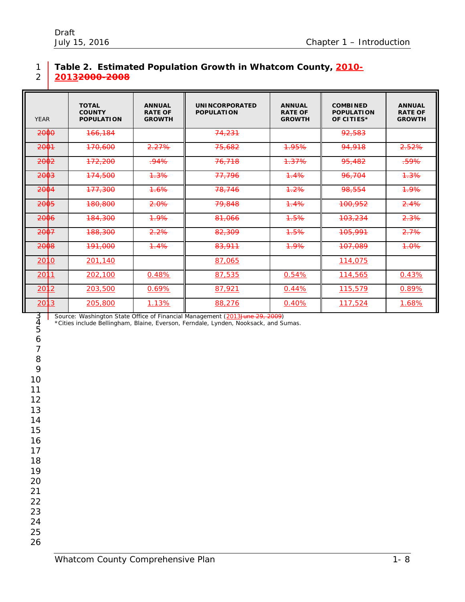# **Table 2. Estimated Population Growth in Whatcom County, 2010-**

# **20132000-2008**

| <b>YEAR</b>        | <b>TOTAL</b><br><b>COUNTY</b><br><b>POPULATION</b>                                                                                                                              | <b>ANNUAL</b><br><b>RATE OF</b><br><b>GROWTH</b> | <b>UNINCORPORATED</b><br><b>POPULATION</b> | <b>ANNUAL</b><br><b>RATE OF</b><br><b>GROWTH</b> | <b>COMBINED</b><br><b>POPULATION</b><br>OF CITIES* | <b>ANNUAL</b><br><b>RATE OF</b><br><b>GROWTH</b> |  |  |
|--------------------|---------------------------------------------------------------------------------------------------------------------------------------------------------------------------------|--------------------------------------------------|--------------------------------------------|--------------------------------------------------|----------------------------------------------------|--------------------------------------------------|--|--|
| <del>2000</del>    | 166,184                                                                                                                                                                         |                                                  | 74,231                                     |                                                  | 92,583                                             |                                                  |  |  |
| <del>2001</del>    | <del>170,600</del>                                                                                                                                                              | 2.27%                                            | 75,682                                     | 1.95%                                            | 94,918                                             | 2.52%                                            |  |  |
| 2002               | 172,200                                                                                                                                                                         | .94%                                             | 76,718                                     | 1.37%                                            | 95,482                                             | <del>.59%</del>                                  |  |  |
| <del>2003</del>    | <del>174.500</del>                                                                                                                                                              | <del>1.3%</del>                                  | 77,796                                     | 1.4%                                             | 96.704                                             | <del>1.3%</del>                                  |  |  |
| 2004               | <del>177,300</del>                                                                                                                                                              | 1.6%                                             | 78,746                                     | <del>1.2%</del>                                  | 98,554                                             | 4.9%                                             |  |  |
| <del>2005</del>    | 180,800                                                                                                                                                                         | 2.0%                                             | 79,848                                     | 1.4%                                             | 100,952                                            | 2.4%                                             |  |  |
| <del>2006</del>    | <del>184,300</del>                                                                                                                                                              | <del>1.9%</del>                                  | 81,066                                     | 1.5%                                             | <del>103,234</del>                                 | 2.3%                                             |  |  |
| <del>2007</del>    | <del>188,300</del>                                                                                                                                                              | 2.2%                                             | 82,309                                     | 1.5%                                             | 105,991                                            | 2.7%                                             |  |  |
| <del>2008</del>    | 491,000                                                                                                                                                                         | 1.4%                                             | 83,911                                     | 4.9%                                             | 107,089                                            | 4.0%                                             |  |  |
| 2010               | 201,140                                                                                                                                                                         |                                                  | 87,065                                     |                                                  | 114,075                                            |                                                  |  |  |
| <u>2011</u>        | 202,100                                                                                                                                                                         | 0.48%                                            | 87,535                                     | 0.54%                                            | 114,565                                            | 0.43%                                            |  |  |
| 2012               | 203,500                                                                                                                                                                         | 0.69%                                            | 87,921                                     | 0.44%                                            | 115,579                                            | 0.89%                                            |  |  |
| 2013               | 205,800                                                                                                                                                                         | 1.13%                                            | 88,276                                     | 0.40%                                            | 117,524                                            | 1.68%                                            |  |  |
| 3<br>$\frac{4}{5}$ | Source: Washington State Office of Financial Management (2013 <del>June 29, 2009</del> )<br>*Cities include Bellingham, Blaine, Everson, Ferndale, Lynden, Nooksack, and Sumas. |                                                  |                                            |                                                  |                                                    |                                                  |  |  |

 

- 
- 
- 
- 
- 
- 
- 
- 
- 
- 
- 
- 
- 
- 
- 
-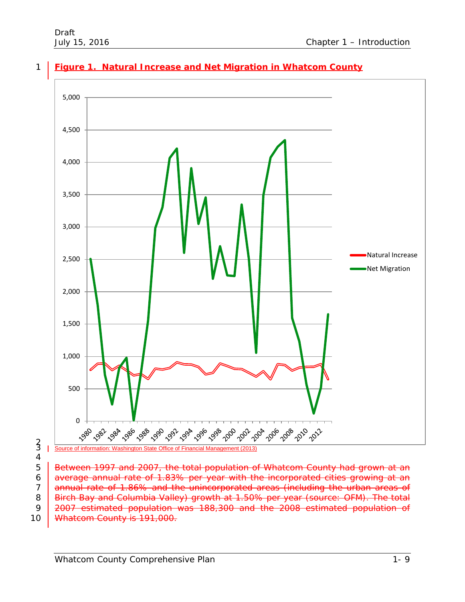



# 1 **Figure 1. Natural Increase and Net Migration in Whatcom County**



5 Between 1997 and 2007, the total population of Whatcom County had grown at an 6 average annual rate of 1.83% per year with the incorporated cities growing at an 7 annual rate of 1.86% and the unincorporated areas (including the urban areas of 8 **Birch Bay and Columbia Valley) growth at 1.50% per year (source: OFM). The total** 9 **2007** estimated population was 188,300 and the 2008 estimated population of 10 Whatcom County is 191,000.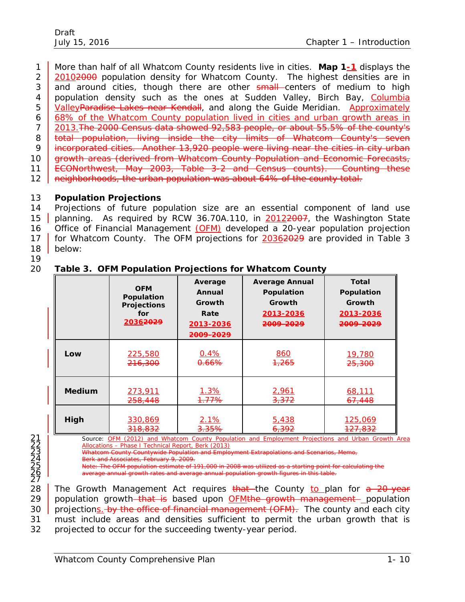1 More than half of all Whatcom County residents live in cities. **Map 1-1** displays the 2 20102000 population density for Whatcom County. The highest densities are in 3 and around cities, though there are other small centers of medium to high 4 population density such as the ones at Sudden Valley, Birch Bay, Columbia 5 Valley Paradise Lakes near Kendall, and along the Guide Meridian. Approximately 6 68% of the Whatcom County population lived in cities and urban growth areas in 7 2013. The 2000 Census data showed 92,583 people, or about 55.5% of the county's 8 total population, living inside the city limits of Whatcom County's seven 9 incorporated cities. Another 13,920 people were living near the cities in city urban 10 growth areas (derived from *Whatcom County Population and Economic Forecasts*, 11 | ECONorthwest, May 2003, Table 3-2 and Census counts). Counting these 12 **heighborhoods, the urban population was about 64% of the county total.** 

13 **Population Projections**

14 Projections of future population size are an essential component of land use 15 planning. As required by RCW 36.70A.110, in 2012<del>2007</del>, the Washington State 16 Office of Financial Management (OFM) developed a 20-year population projection 17 for Whatcom County. The OFM projections for 20362029 are provided in Table 3

18 | below:

19

# 20 **Table 3. OFM Population Projections for Whatcom County**

|               | <b>OFM</b><br>Population<br><b>Projections</b><br>for<br>20362029 | Average<br>Annual<br>Growth<br>Rate<br>2013-2036<br><del>2009-2029</del> | <b>Average Annual</b><br>Population<br>Growth<br>2013-2036<br>ഛഛ ഛഛ<br>ZUU ZEAUZ | Total<br>Population<br>Growth<br>2013-2036<br>ാറ്ററ ാറാറ<br>ZUU ZEAUZE |
|---------------|-------------------------------------------------------------------|--------------------------------------------------------------------------|----------------------------------------------------------------------------------|------------------------------------------------------------------------|
| Low           | 225,580                                                           | 0.4%                                                                     | 860                                                                              | 19,780                                                                 |
|               | 216,300                                                           | <del>0.66%</del>                                                         | <del>1,265</del>                                                                 | 25,300                                                                 |
| <b>Medium</b> | 273,911                                                           | 1.3%                                                                     | 2,961                                                                            | 68,111                                                                 |
|               | <del>258,448</del>                                                | <del>1.77%</del>                                                         | 3,372                                                                            | 67,448                                                                 |
| High          | 330,869                                                           | 2.1%                                                                     | 5,438                                                                            | 125,069                                                                |
|               | <del>318,832</del>                                                | <del>3.35%</del>                                                         | <del>6,392</del>                                                                 | <del>127,832</del>                                                     |

222345<br>22245<br>22227<br>28

21 Source: OFM (2012) and *Whatcom County Population and Employment Projections and Urban Growth Area*  22 *Allocations – Phase I Technical Report,* Berk (2013) 23 *Whatcom County Countywide Population and Employment Extrapolations and Scenarios,* Memo,

 $F$ ebruary 9, 2009.

estimate of 191,000 in 2008 was utilized as a starting point for calculating the 26 average and average annual population growth figures in this table.

The Growth Management Act requires that the County to plan for a 20-year 29 population growth that is based upon OFMthe growth management population 30 projections. by the office of financial management (OFM). The county and each city 31 must include areas and densities sufficient to permit the urban growth that is 32 projected to occur for the succeeding twenty-year period.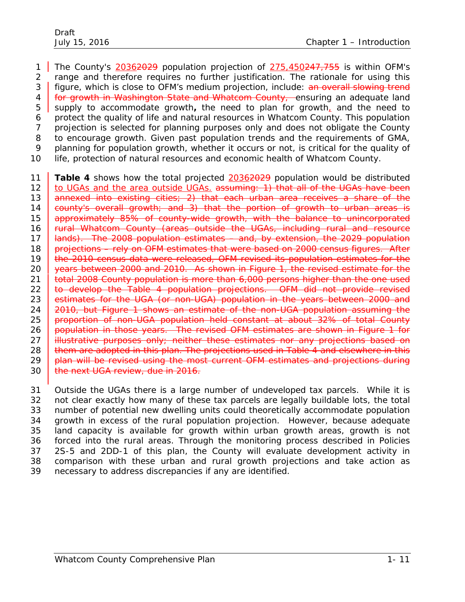1 The County's  $20362029$  population projection of  $275,450247,755$  is within OFM's range and therefore requires no further justification. The rationale for using this 3 figure, which is close to OFM's medium projection, include: an overall slowing trend **for growth in Washington State and Whatcom County**, ensuring an adequate land supply to accommodate growth**,** the need to plan for growth, and the need to protect the quality of life and natural resources in Whatcom County. This population projection is selected for planning purposes only and does not obligate the County to encourage growth. Given past population trends and the requirements of GMA, planning for population growth, whether it occurs or not, is critical for the quality of life, protection of natural resources and economic health of Whatcom County.

11 **Table 4** shows how the total projected 20362029 population would be distributed 12 to UGAs and the area outside UGAs. assuming: 1) that all of the UGAs have been 13 annexed into existing cities; 2) that each urban area receives a share of the 14 **county's overall growth**; and 3) that the portion of growth to urban areas is 15 approximately 85% of county-wide growth, with the balance to unincorporated 16 <u>Fural Whatcom County (areas outside the UGAs, including rural and resource</u> 17 **| lands). The 2008 population estimates – and, by extension, the 2029 population** 18 projections – rely on OFM estimates that were based on 2000 census figures. After 19 **the 2010 census data were released, OFM revised its population estimates for the** 20 vears between 2000 and 2010. As shown in Figure 1, the revised estimate for the 21 total 2008 County population is more than 6,000 persons higher than the one used 22 to develop the Table 4 population projections. OFM did not provide revised 23 estimates for the UGA (or non-UGA) population in the years between 2000 and 24 2010, but Figure 1 shows an estimate of the non-UGA population assuming the 25 proportion of non-UGA population held constant at about 32% of total County 26 population in those years. The revised OFM estimates are shown in Figure 1 for 27 | illustrative purposes only; neither these estimates nor any projections based on 28 them are adopted in this plan. The projections used in Table 4 and elsewhere in this 29 plan will be revised using the most current OFM estimates and projections during 30 | the next UGA review, due in 2016.

 Outside the UGAs there is a large number of undeveloped tax parcels. While it is not clear exactly how many of these tax parcels are legally buildable lots, the total number of potential new dwelling units could theoretically accommodate population growth in excess of the rural population projection. However, because adequate land capacity is available for growth within urban growth areas, growth is not forced into the rural areas. Through the monitoring process described in Policies 2S-5 and 2DD-1 of this plan, the County will evaluate development activity in comparison with these urban and rural growth projections and take action as necessary to address discrepancies if any are identified.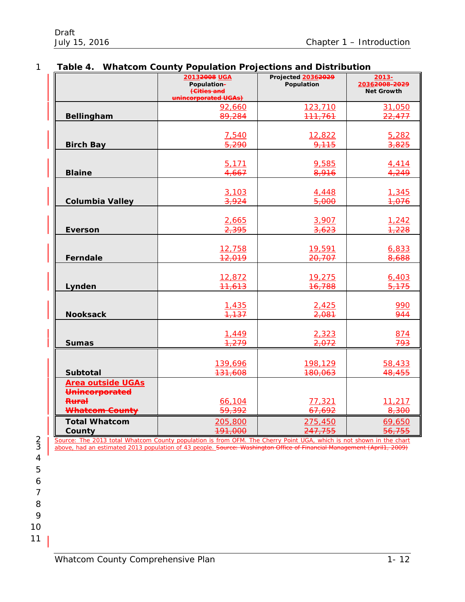|  | Table 4. Whatcom County Population Projections and Distribution |  |
|--|-----------------------------------------------------------------|--|
|  |                                                                 |  |

|                                                                                            | 20132008 UGA<br>Population-<br><b>Cities and</b><br>unincorporated UGAs) | Projected 20362029<br>Population | $2013 -$<br>2036 <del>2008-2029</del><br><b>Net Growth</b> |
|--------------------------------------------------------------------------------------------|--------------------------------------------------------------------------|----------------------------------|------------------------------------------------------------|
| Bellingham                                                                                 | 92,660                                                                   | 123,710                          | 31,050                                                     |
|                                                                                            | 89,284                                                                   | 111,761                          | 22,477                                                     |
| <b>Birch Bay</b>                                                                           | 7,540                                                                    | 12,822                           | 5,282                                                      |
|                                                                                            | 5,290                                                                    | 9,115                            | 3,825                                                      |
| <b>Blaine</b>                                                                              | 5,171                                                                    | 9,585                            | 4,414                                                      |
|                                                                                            | 4,667                                                                    | 8,916                            | 4,249                                                      |
| <b>Columbia Valley</b>                                                                     | 3,103                                                                    | 4,448                            | 1,345                                                      |
|                                                                                            | 3,924                                                                    | 5,000                            | <b>1,076</b>                                               |
| <b>Everson</b>                                                                             | 2,665                                                                    | 3,907                            | 1,242                                                      |
|                                                                                            | 2,395                                                                    | 3,623                            | 1,228                                                      |
| <b>Ferndale</b>                                                                            | 12,758                                                                   | 19,591                           | 6,833                                                      |
|                                                                                            | 12,019                                                                   | 20,707                           | 8,688                                                      |
| Lynden                                                                                     | 12,872                                                                   | 19,275                           | 6,403                                                      |
|                                                                                            | 11,613                                                                   | <del>16,788</del>                | 5,175                                                      |
| <b>Nooksack</b>                                                                            | 1,435                                                                    | 2,425                            | 990                                                        |
|                                                                                            | 7,137                                                                    | 2,081                            | 944                                                        |
| <b>Sumas</b>                                                                               | 1,449                                                                    | 2,323                            | 874                                                        |
|                                                                                            | 7,279                                                                    | 2,072                            | 793                                                        |
| <b>Subtotal</b>                                                                            | 139,696                                                                  | 198,129                          | 58,433                                                     |
|                                                                                            | 131,608                                                                  | 180,063                          | 48,455                                                     |
| <b>Area outside UGAs</b><br><b>Unincorporated</b><br><b>Rural</b><br><b>Whateom County</b> | 66,104<br>59,392                                                         | 77,321<br>67,692                 | 11,217<br>8,300                                            |
| <b>Total Whatcom</b>                                                                       | 205,800                                                                  | 275,450                          | 69,650                                                     |
| County                                                                                     | 191,000                                                                  | 247,755                          | 56,755                                                     |

2 Source: The 2013 total Whatcom County population is from OFM. The Cherry Point UGA, which is not shown in the chart<br>3 above, had an estimated 2013 population of 43 people. Source: Washington Office of Financial Managemen above, had an estimated 2013 population of 43 people. Source: Washington Office of Financial Management (April1, 2009)

<sup>4</sup> 5 6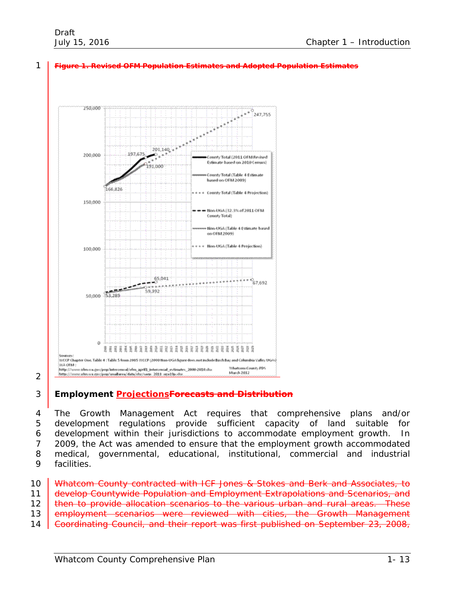#### 1 **Figure 1. Revised OFM Population Estimates and Adopted Population Estimates**



<sup>2</sup>

### 3 **Employment ProjectionsForecasts and Distribution**

 The Growth Management Act requires that comprehensive plans and/or development regulations provide sufficient capacity of land suitable for development within their jurisdictions to accommodate employment growth. In 2009, the Act was amended to ensure that the employment growth accommodated medical, governmental, educational, institutional, commercial and industrial facilities.

10 Whatcom County contracted with ICF Jones & Stokes and Berk and Associates, to 11 develop Countywide Population and Employment Extrapolations and Scenarios, and 12 **then to provide allocation scenarios to the various urban and rural areas. These** 13 employment scenarios were reviewed with cities, the Growth Management 14 Coordinating Council, and their report was first published on September 23, 2008,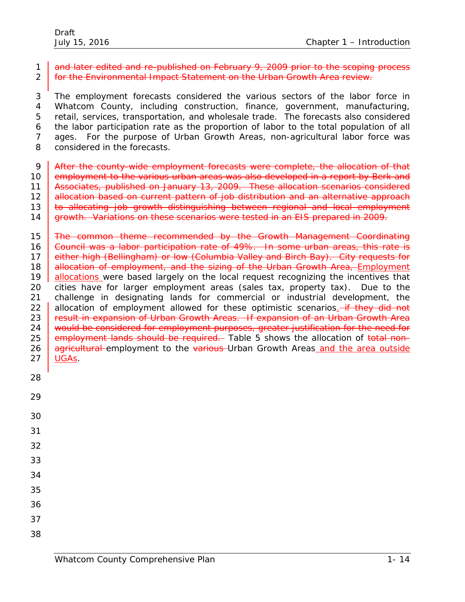1 and later edited and re-published on February 9, 2009 prior to the scoping process 2 for the Environmental Impact Statement on the Urban Growth Area review.

 The employment forecasts considered the various sectors of the labor force in Whatcom County, including construction, finance, government, manufacturing, retail, services, transportation, and wholesale trade. The forecasts also considered the labor participation rate as the proportion of labor to the total population of all ages. For the purpose of Urban Growth Areas, non-agricultural labor force was considered in the forecasts.

9 | After the county-wide employment forecasts were complete, the allocation of that 10 employment to the various urban areas was also developed in a report by Berk and 11 | Associates, published on January 13, 2009. These allocation scenarios considered 12 allocation based on current pattern of job distribution and an alternative approach 13 to allocating job growth distinguishing between regional and local employment 14 growth. Variations on these scenarios were tested in an EIS prepared in 2009.

15 **The common theme recommended by the Growth Management Coordinating** 16 Gouncil was a labor participation rate of 49%. In some urban areas, this rate is 17 either high (Bellingham) or low (Columbia Valley and Birch Bay). City requests for 18 allocation of employment, and the sizing of the Urban Growth Area, Employment 19 allocations were based largely on the local request recognizing the incentives that 20 cities have for larger employment areas (sales tax, property tax). Due to the 21 challenge in designating lands for commercial or industrial development, the 22 allocation of employment allowed for these optimistic scenarios. *if they did not* 23 result in expansion of Urban Growth Areas. If expansion of an Urban Growth Area 24 would be considered for employment purposes, greater justification for the need for 25 employment lands should be required. Table 5 shows the allocation of total non-26 **agricultural** employment to the various Urban Growth Areas and the area outside 27 UGAs.

28

| 29 |  |  |  |
|----|--|--|--|
| 30 |  |  |  |
| 31 |  |  |  |
| 32 |  |  |  |
| 33 |  |  |  |
| 34 |  |  |  |
| 35 |  |  |  |
| 36 |  |  |  |
| 37 |  |  |  |
| 38 |  |  |  |
|    |  |  |  |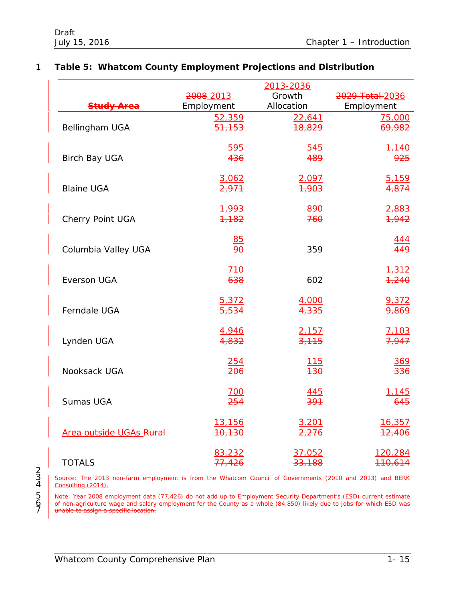|                                | 2008_2013         | 2013-2036<br>Growth | 2029 Total 2036 |
|--------------------------------|-------------------|---------------------|-----------------|
| <b>Study Area</b>              | Employment        | Allocation          | Employment      |
| Bellingham UGA                 | 52,359            | 22,641              | 75,000          |
|                                | 51,153            | 18,829              | 69,982          |
| <b>Birch Bay UGA</b>           | 595               | 545                 | 1,140           |
|                                | 436               | 489                 | 925             |
| <b>Blaine UGA</b>              | 3,062             | 2,097               | 5,159           |
|                                | 2,971             | 1,903               | 4,874           |
| Cherry Point UGA               | 1,993             | 890                 | 2,883           |
|                                | 7,182             | 760                 | 7,942           |
| Columbia Valley UGA            | 85<br>90          | 359                 | 444<br>449      |
| <b>Everson UGA</b>             | 710<br>638        | 602                 | 1,312<br>7,240  |
| Ferndale UGA                   | 5,372             | 4,000               | 9,372           |
|                                | 5,534             | 4,335               | 9,869           |
| Lynden UGA                     | 4,946             | 2,157               | 7,103           |
|                                | 4,832             | 3,115               | 7,947           |
| Nooksack UGA                   | 254               | <u>115</u>          | 369             |
|                                | 206               | $+30$               | 336             |
| Sumas UGA                      | <u>700</u>        | 445                 | 1,145           |
|                                | 254               | 391                 | 645             |
| <b>Area outside UGAs Rural</b> | 13,156            | 3,201               | 16,357          |
|                                | <del>10,130</del> | 2,276               | 12,406          |
| <b>TOTALS</b>                  | 83,232            | 37,052              | 120,284         |
|                                | 77,426            | 33,188              | 110,614         |

# 1 **Table 5: Whatcom County Employment Projections and Distribution**

3 Source: The 2013 non-farm employment is from the Whatcom Council of Governments (2010 and 2013) and BERK 4 Consulting (2014).

fear 2008 employment data (77,426) do not add up to Employment Security Department's (ESD) current estimate<br>-agriculture wage and salary employment for the County as a whole (84,850) likely due to jobs for which ESD was wage and salary employment for the County as a whole (84,850) likely due to jobs for which ESD was<br>specific location able to assign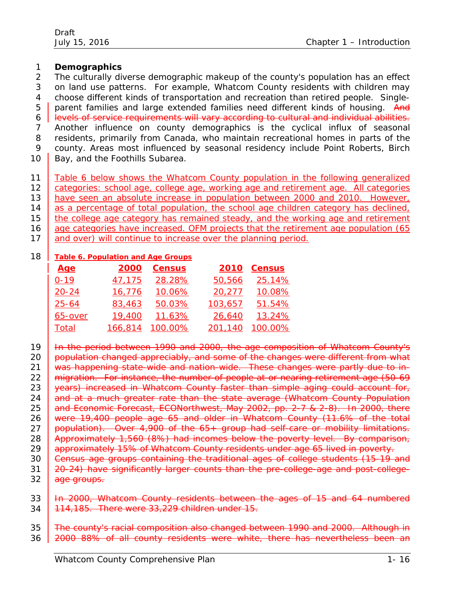# 1 **Demographics**

 The culturally diverse demographic makeup of the county's population has an effect on land use patterns. For example, Whatcom County residents with children may choose different kinds of transportation and recreation than retired people. Single-5 parent families and large extended families need different kinds of housing. And 6 levels of service requirements will vary according to cultural and individual abilities. Another influence on county demographics is the cyclical influx of seasonal residents, primarily from Canada, who maintain recreational homes in parts of the county. Areas most influenced by seasonal residency include Point Roberts, Birch 10 | Bay, and the Foothills Subarea.

- 11 Table 6 below shows the Whatcom County population in the following generalized 12 <u>categories: school age, college age, working age and retirement age. All categories</u> 13 have seen an absolute increase in population between 2000 and 2010. However, 14 as a percentage of total population, the school age children category has declined,
- 15 the college age category has remained steady, and the working age and retirement
- 16 age categories have increased. OFM projects that the retirement age population (65
- 17 and over) will continue to increase over the planning period.

# 18 **Table 6. Population and Age Groups**

| <u>Age</u> | 2000    | <b>Census</b> | 2010    | <b>Census</b> |
|------------|---------|---------------|---------|---------------|
| $0 - 19$   | 47,175  | 28.28%        | 50,566  | 25.14%        |
| $20 - 24$  | 16,776  | 10.06%        | 20,277  | 10.08%        |
| $25 - 64$  | 83,463  | 50.03%        | 103,657 | 51.54%        |
| 65-over    | 19,400  | 11.63%        | 26,640  | 13.24%        |
| Total      | 166,814 | 100.00%       | 201,140 | 100.00%       |

19 | In the period between 1990 and 2000, the age composition of Whatcom County's 20 population changed appreciably, and some of the changes were different from what 21 was happening state-wide and nation-wide. These changes were partly due to in-22 <del>migration. For instance, the number of people at or nearing retirement age (50-69</del> 23 | years) increased in Whatcom County faster than simple aging could account for, 24 and at a much greater rate than the state average (*Whatcom County Population*  25 *and Economic Forecast*, ECONorthwest, May 2002, pp. 2-7 & 2-8). In 2000, there 26 were 19,400 people age 65 and older in Whatcom County (11.6% of the total 27 population). Over 4,900 of the  $65+$  group had self-care or mobility limitations. 28 Approximately 1,560 (8%) had incomes below the poverty level. By comparison, 29 approximately 15% of Whatcom County residents under age 65 lived in poverty. 30 Gensus age groups containing the traditional ages of college students (15-19 and 31 20-24) have significantly larger counts than the pre-college-age and post-college-32 age groups.

- 33 | In 2000, Whatcom County residents between the ages of 15 and 64 numbered  $34$  |  $114,185$ . There were  $33,229$  children under  $15.$
- 35 The county's racial composition also changed between 1990 and 2000. Although in 36 2000 88% of all county residents were white, there has nevertheless been an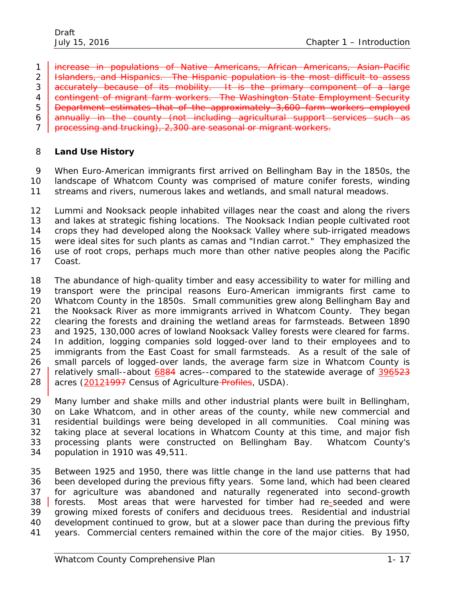increase in populations of Native Americans, African Americans, Asian-Pacific 2 | Islanders, and Hispanics. The Hispanic population is the most difficult to assess 3 accurately because of its mobility. It is the primary component of a large **contingent of migrant farm workers. The Washington State Employment Security** 5 | Department estimates that of the approximately 3,600 farm workers employed 6 annually in the county (not including agricultural support services such as

**processing and trucking**), 2,300 are seasonal or migrant workers.

# **Land Use History**

 When Euro-American immigrants first arrived on Bellingham Bay in the 1850s, the landscape of Whatcom County was comprised of mature conifer forests, winding streams and rivers, numerous lakes and wetlands, and small natural meadows.

 Lummi and Nooksack people inhabited villages near the coast and along the rivers and lakes at strategic fishing locations. The Nooksack Indian people cultivated root crops they had developed along the Nooksack Valley where sub-irrigated meadows were ideal sites for such plants as camas and "Indian carrot." They emphasized the use of root crops, perhaps much more than other native peoples along the Pacific Coast.

 The abundance of high-quality timber and easy accessibility to water for milling and transport were the principal reasons Euro-American immigrants first came to Whatcom County in the 1850s. Small communities grew along Bellingham Bay and the Nooksack River as more immigrants arrived in Whatcom County. They began clearing the forests and draining the wetland areas for farmsteads. Between 1890 and 1925, 130,000 acres of lowland Nooksack Valley forests were cleared for farms. In addition, logging companies sold logged-over land to their employees and to immigrants from the East Coast for small farmsteads. As a result of the sale of small parcels of logged-over lands, the average farm size in Whatcom County is 27 relatively small--about 6884 acres--compared to the statewide average of 396523 28 acres (2012<del>1997</del> Census of Agriculture *Profiles*, USDA).

 Many lumber and shake mills and other industrial plants were built in Bellingham, on Lake Whatcom, and in other areas of the county, while new commercial and residential buildings were being developed in all communities. Coal mining was taking place at several locations in Whatcom County at this time, and major fish processing plants were constructed on Bellingham Bay. Whatcom County's population in 1910 was 49,511.

 Between 1925 and 1950, there was little change in the land use patterns that had been developed during the previous fifty years. Some land, which had been cleared for agriculture was abandoned and naturally regenerated into second-growth 38 forests. Most areas that were harvested for timber had re-seeded and were growing mixed forests of conifers and deciduous trees. Residential and industrial development continued to grow, but at a slower pace than during the previous fifty years. Commercial centers remained within the core of the major cities. By 1950,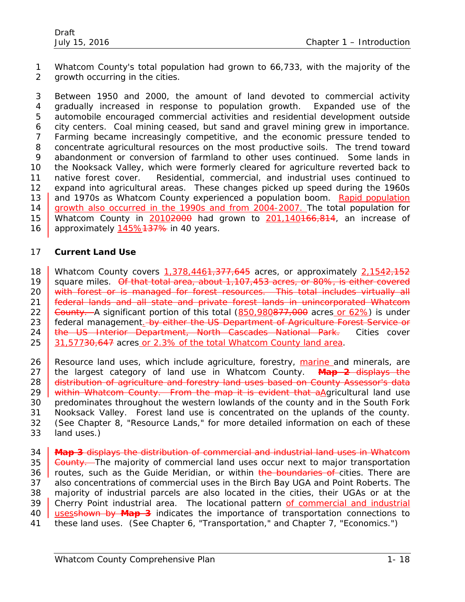Whatcom County's total population had grown to 66,733, with the majority of the growth occurring in the cities.

 Between 1950 and 2000, the amount of land devoted to commercial activity gradually increased in response to population growth. Expanded use of the automobile encouraged commercial activities and residential development outside city centers. Coal mining ceased, but sand and gravel mining grew in importance. Farming became increasingly competitive, and the economic pressure tended to concentrate agricultural resources on the most productive soils. The trend toward abandonment or conversion of farmland to other uses continued. Some lands in the Nooksack Valley, which were formerly cleared for agriculture reverted back to native forest cover. Residential, commercial, and industrial uses continued to expand into agricultural areas. These changes picked up speed during the 1960s and 1970s as Whatcom County experienced a population boom. Rapid population 14 growth also occurred in the 1990s and from 2004-2007. The total population for 15 Whatcom County in 2010<del>2000</del> had grown to 201,140<del>166,814</del>, an increase of

16 approximately 145% 37% in 40 years.

# **Current Land Use**

18 Whatcom County covers 1,378,446<del>1,377,645</del> acres, or approximately 2,154<del>2,152</del>

19 square miles. Of that total area, about 1,107,453 acres, or 80%, is either covered

20 with forest or is managed for forest resources. This total includes virtually all

**Federal lands and all state and private forest lands in unincorporated Whatcom** 

22 Gounty. A significant portion of this total  $(850,980877,000$  acres or 62%) is under

23 federal management. by either the US Department of Agriculture Forest Service or

24 | the US Interior Department, North Cascades National Park. Cities cover  $\overline{)31,57730,647}$  acres or 2.3% of the total Whatcom County land area.

26 Resource land uses, which include agriculture, forestry, marine and minerals, are the largest category of land use in Whatcom County. **Map 2** displays the 28 distribution of agriculture and forestry land uses based on County Assessor's data 29 within Whatcom County. From the map it is evident that a Agricultural land use predominates throughout the western lowlands of the county and in the South Fork Nooksack Valley. Forest land use is concentrated on the uplands of the county. (See Chapter 8, "Resource Lands," for more detailed information on each of these

land uses.)

**Map 3** displays the distribution of commercial and industrial land uses in Whatcom

35 County. The majority of commercial land uses occur next to major transportation 36 routes, such as the Guide Meridian, or within the boundaries of cities. There are also concentrations of commercial uses in the Birch Bay UGA and Point Roberts. The majority of industrial parcels are also located in the cities, their UGAs or at the

Cherry Point industrial area. The locational pattern of commercial and industrial

- usesshown by **Map 3** indicates the importance of transportation connections to
- these land uses. (See Chapter 6, "Transportation," and Chapter 7, "Economics.")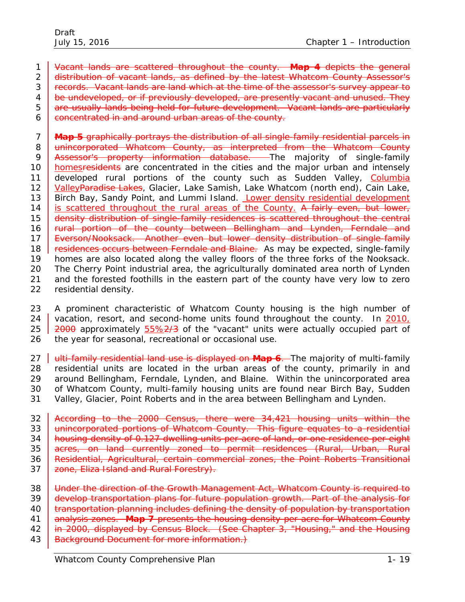1 Vacant lands are scattered throughout the county. **Map 4** depicts the general 2 distribution of vacant lands, as defined by the latest Whatcom County Assessor's 3 Fecords. Vacant lands are land which at the time of the assessor's survey appear to 4 be undeveloped, or if previously developed, are presently vacant and unused. They 5 are usually lands being held for future development. Vacant lands are particularly 6 concentrated in and around urban areas of the county.

7 **Map 5** graphically portrays the distribution of all single-family residential parcels in 8 | unincorporated Whatcom County, as interpreted from the Whatcom County 9 **Assessor's property information database**. The majority of single-family 10 homesresidents are concentrated in the cities and the major urban and intensely 11 developed rural portions of the county such as Sudden Valley, Columbia 12 Valley Paradise Lakes, Glacier, Lake Samish, Lake Whatcom (north end), Cain Lake, 13 Birch Bay, Sandy Point, and Lummi Island. Lower density residential development 14 is scattered throughout the rural areas of the County. A fairly even, but lower, 15 density distribution of single-family residences is scattered throughout the central 16 **Fural portion of the county between Bellingham and Lynden, Ferndale and** 17 | Everson/Nooksack. Another even but lower density distribution of single-family 18 **Fesidences occurs between Ferndale and Blaine.** As may be expected, single-family 19 homes are also located along the valley floors of the three forks of the Nooksack. 20 The Cherry Point industrial area, the agriculturally dominated area north of Lynden 21 and the forested foothills in the eastern part of the county have very low to zero 22 residential density.

 A prominent characteristic of Whatcom County housing is the high number of 24 vacation, resort, and second-home units found throughout the county. In 2010,  $\sqrt{2000}$  approximately  $55\frac{\sqrt{273}}{200}$  of the "vacant" units were actually occupied part of the year for seasonal, recreational or occasional use.

**ulti-family residential land use is displayed on Map 6**. The majority of multi-family residential units are located in the urban areas of the county, primarily in and around Bellingham, Ferndale, Lynden, and Blaine. Within the unincorporated area of Whatcom County, multi-family housing units are found near Birch Bay, Sudden Valley, Glacier, Point Roberts and in the area between Bellingham and Lynden.

32 According to the 2000 Census, there were 34,421 housing units within the 33 unincorporated portions of Whatcom County. This figure equates to a residential 34 **housing density of 0.127 dwelling units per acre of land, or one residence per eight** 35 acres, on land currently zoned to permit residences (Rural, Urban, Rural 36 **Residential, Agricultural, certain commercial zones, the Point Roberts Transitional** 37 zone, Eliza Island and Rural Forestry).

- 38 Under the direction of the Growth Management Act, Whatcom County is required to 39 develop transportation plans for future population growth. Part of the analysis for
- 40 **transportation planning includes defining the density of population by transportation**
- 41 analysis zones. **Map 7** presents the housing density per acre for Whatcom County
- 42 in 2000, displayed by Census Block. (See Chapter 3, "Housing," and the *Housing*
- 43 *Background Document* for more information.)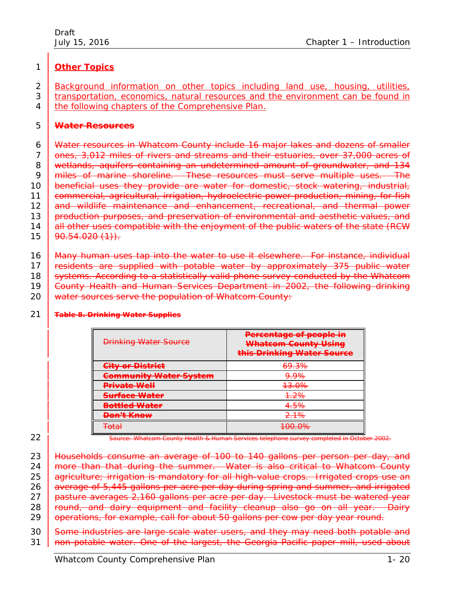# 1 **Other Topics**

2 Background information on other topics including land use, housing, utilities,

3 transportation, economics, natural resources and the environment can be found in 4 the following chapters of the Comprehensive Plan.

# 5 **Water Resources**

6 Water resources in Whatcom County include 16 major lakes and dozens of smaller 7 ones, 3,012 miles of rivers and streams and their estuaries, over 37,000 acres of 8 wetlands, aquifers containing an undetermined amount of groundwater, and 134 9 miles of marine shoreline. These resources must serve multiple uses. The 10 **beneficial uses they provide are water for domestic, stock watering, industrial,** 11 **commercial, agricultural, irrigation, hydroelectric power production, mining, for fish** 12 and wildlife maintenance and enhancement, recreational, and thermal power 13 production purposes, and preservation of environmental and aesthetic values, and 14 all other uses compatible with the enjoyment of the public waters of the state (RCW  $15$   $90.54.020(1)$ .

16 Many human uses tap into the water to use it elsewhere. For instance, individual 17 | residents are supplied with potable water by approximately 375 public water 18 | systems. According to a statistically valid phone survey conducted by the Whatcom

19 County Health and Human Services Department in 2002, the following drinking

20 water sources serve the population of Whatcom County:

# Drinking Water Source **Percentage of people in Whatcom County Using this Drinking Water Source City or District** 69.3% **Community Water System** 9.9% **Private Well 13.0% Surface Water** 1.2% **Bottled Water** 4.5% **Don't Know** 2.1% Total 100.0% and 100.0%

# 21 **Table 8. Drinking Water Supplies**

22 | Source: Whatcom County Health & Human Services telephone survey completed in October 2002.

23 **Households consume an average of 100 to 140 gallons per person per day, and** 24 | more than that during the summer. Water is also critical to Whatcom County 25 agriculture; irrigation is mandatory for all high-value crops. Irrigated crops use an 26 average of 5,445 gallons per acre per day during spring and summer, and irrigated 27 pasture averages 2,160 gallons per acre per day. Livestock must be watered year 28 round, and dairy equipment and facility cleanup also go on all year. Dairy 29 operations, for example, call for about 50 gallons per cow per day year round.

30 Some industries are large-scale water users, and they may need both potable and 31 | non-potable water. One of the largest, the Georgia Pacific paper mill, used about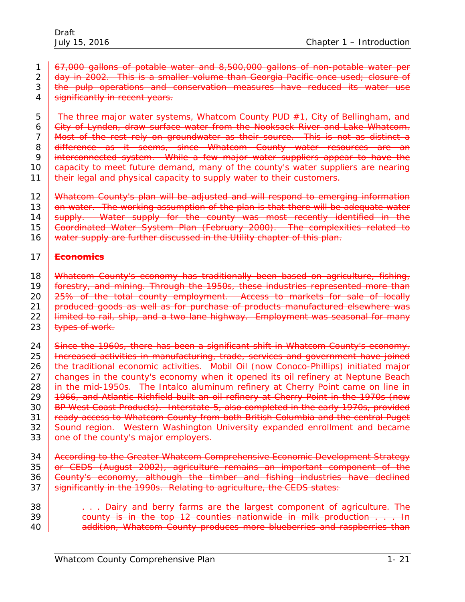1 67,000 gallons of potable water and 8,500,000 gallons of non-potable water per 2 day in 2002. This is a smaller volume than Georgia Pacific once used; closure of 3 the pulp operations and conservation measures have reduced its water use 4 significantly in recent years.

5 The three major water systems, Whatcom County PUD #1, City of Bellingham, and 6 Gity of Lynden, draw surface water from the Nooksack River and Lake Whatcom. 7 | Most of the rest rely on groundwater as their source. This is not as distinct a 8 difference as it seems, since Whatcom County water resources are an 9 interconnected system. While a few major water suppliers appear to have the 10 **capacity to meet future demand, many of the county's water suppliers are nearing** 11 | their legal and physical capacity to supply water to their customers.

- 12 Whatcom County's plan will be adjusted and will respond to emerging information 13 on water. The working assumption of the plan is that there will be adequate water 14 supply. Water supply for the county was most recently identified in the
- 15 *Coordinated Water System Plan* (February 2000). The complexities related to
- 16 water supply are further discussed in the Utility chapter of this plan.

# 17 **Economics**

18 Whatcom County's economy has traditionally been based on agriculture, fishing,

- 19 | forestry, and mining. Through the 1950s, these industries represented more than
- 20 25% of the total county employment. Access to markets for sale of locally

21 produced goods as well as for purchase of products manufactured elsewhere was

22 *Himited to rail, ship, and a two-lane highway.* Employment was seasonal for many

- 23 **types of work.**
- 24 Since the 1960s, there has been a significant shift in Whatcom County's economy. 25 I Hereased activities in manufacturing, trade, services and government have joined 26 **the traditional economic activities.** Mobil Oil (now Conoco-Phillips) initiated major 27 **changes in the county's economy when it opened its oil refinery at Neptune Beach** 28 in the mid-1950s. The Intalco aluminum refinery at Cherry Point came on line in 29 1966, and Atlantic Richfield built an oil refinery at Cherry Point in the 1970s (now 30 **BP West Coast Products). Interstate-5, also completed in the early 1970s, provided** 31 **Fready access to Whatcom County from both British Columbia and the central Puget** 32 Sound region. Western Washington University expanded enrollment and became
- 33 one of the county's major employers.
- 34 According to the Greater Whatcom Comprehensive Economic Development Strategy 35 or CEDS (August 2002), agriculture remains an important component of the 36 Gounty's economy, although the timber and fishing industries have declined 37 significantly in the 1990s. Relating to agriculture, the CEDS states:
- 38 **. . . . . . Dairy and berry farms are the largest component of agriculture. The** 39 county is in the top 12 counties nationwide in milk production . . . In 40 **addition, Whatcom County produces more blueberries and raspberries than**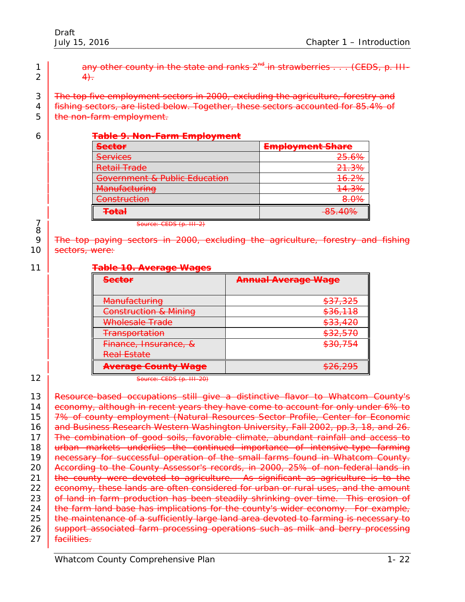| $\overline{ }$ | any other county in the state and ranks $2^{nd}$ in strawberries $\ldots$ (CEDS, p. III- |  |
|----------------|------------------------------------------------------------------------------------------|--|
| 2 I            |                                                                                          |  |

3 The top five employment sectors in 2000, excluding the agriculture, forestry and

4 | fishing sectors, are listed below. Together, these sectors accounted for 85.4% of  $5$  | the non-farm employment.

| 6 |  |  |  | Toble O Non Form Employment         |  |
|---|--|--|--|-------------------------------------|--|
|   |  |  |  | <u>TAME 7. NUITTAITHEINMUVINEIN</u> |  |

| <b>Cootor</b>                 | Employment Chara                     |
|-------------------------------|--------------------------------------|
| 255501                        | <del>emprovment onare</del>          |
| Conviced                      | 25,60/                               |
| <del>services</del>           | <del>23.070</del>                    |
| <b>Retail Trade</b>           | <u>າາ າທ</u><br><del>ZT.J70</del>    |
| Government & Public Education | 16.001<br>10.Z70                     |
| <b>Manufacturing</b>          | <u>11 201</u><br>T <del>T.J</del> 70 |
| Construction                  | $\circ$ nos                          |
| <del>construction</del>       | ᠳᠣᠵ                                  |
| <b>Tatal</b>                  | $OC$ $AO$                            |
| ाजम                           | <del>09.4070</del>                   |

789

Source: CEDS (p. III-2)

The top paying sectors in 2000, excluding the agriculture, forestry and fishing 10 | sectors, were:

# 11 **Table 10. Average Wages**

| <b>Sector</b>                    | <b>Annual Average Wage</b>              |
|----------------------------------|-----------------------------------------|
| <b>Manufacturing</b>             | \$37,325                                |
| <b>Construction &amp; Mining</b> | <u> ৫२८ 110</u><br><del>voo, 1 10</del> |
| Wholesale Trade                  | CCN CCD<br>ᢌᡂᡣᡃᡏᡓᠣ                      |
| <b>Transportation</b>            | よっつ につへ<br><u>JJZ,J7U</u>               |
| Finance, Insurance, &            | \$30,754                                |
| <b>Real Estate</b>               |                                         |
| <b>Average County Wage</b>       | 0.26<br><del>⊅∠∪,∠ 7J</del>             |

12 | Source: CEDS (p. III-20)

13 **Resource-based occupations still give a distinctive flavor to Whatcom County's** 14 economy, although in recent years they have come to account for only under 6% to 15 7% of county employment (*Natural Resources Sector Profile*, Center for Economic 16 and Business Research Western Washington University, Fall 2002, pp.3, 18, and 26. 17 The combination of good soils, favorable climate, abundant rainfall and access to 18 urban markets underlies the continued importance of intensive-type farming 19 **necessary for successful operation of the small farms found in Whatcom County.** 20 According to the County Assessor's records, in 2000, 25% of non-federal lands in 21 | the county were devoted to agriculture. As significant as agriculture is to the 22 economy, these lands are often considered for urban or rural uses, and the amount 23 of land in farm production has been steadily shrinking over time. This erosion of 24  $\parallel$  the farm land base has implications for the county's wider economy. For example, 25 the maintenance of a sufficiently large land area devoted to farming is necessary to 26 support associated farm processing operations such as milk and berry processing  $27$  | facilities.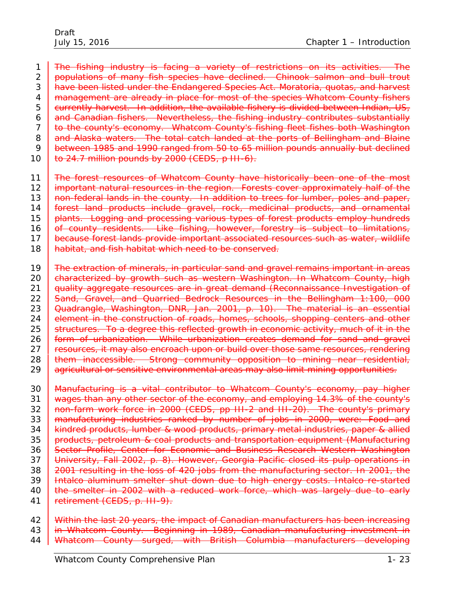1 The fishing industry is facing a variety of restrictions on its activities. The 2 populations of many fish species have declined. Chinook salmon and bull trout 3 **have been listed under the Endangered Species Act. Moratoria, quotas, and harvest** 4 management are already in place for most of the species Whatcom County fishers 5 currently harvest. In addition, the available fishery is divided between Indian, US,  $6$  and Canadian fishers. Nevertheless, the fishing industry contributes substantially 7 | to the county's economy. Whatcom County's fishing fleet fishes both Washington 8 and Alaska waters. The total catch landed at the ports of Bellingham and Blaine 9 between 1985 and 1990 ranged from 50 to 65 million pounds annually but declined 10 | to 24.7 million pounds by 2000 (CEDS, p III-6).

- 11 **The forest resources of Whatcom County have historically been one of the most** 12 **important natural resources in the region.** Forests cover approximately half of the 13 **non-federal lands in the county. In addition to trees for lumber, poles and paper,** 14 | forest land products include gravel, rock, medicinal products, and ornamental 15 **plants.** Logging and processing various types of forest products employ hundreds 16 of county residents. Like fishing, however, forestry is subject to limitations, 17 because forest lands provide important associated resources such as water, wildlife 18 **habitat, and fish habitat which need to be conserved.**
- 19 The extraction of minerals, in particular sand and gravel remains important in areas 20 characterized by growth such as western Washington. In Whatcom County, high 21 quality aggregate resources are in great demand (*Reconnaissance Investigation of*  22 *Sand, Gravel, and Quarried Bedrock Resources in the Bellingham 1:100, 000*  23 *Quadrangle, Washington*, DNR, Jan. 2001, p. 10). The material is an essential 24 element in the construction of roads, homes, schools, shopping centers and other 25 structures. To a degree this reflected growth in economic activity, much of it in the 26 | form of urbanization. While urbanization creates demand for sand and gravel 27 | resources, it may also encroach upon or build over those same resources, rendering 28 them inaccessible. Strong community opposition to mining near residential, 29 agricultural or sensitive environmental areas may also limit mining opportunities.
- 30 | Manufacturing is a vital contributor to Whatcom County's economy, pay higher 31 wages than any other sector of the economy, and employing 14.3% of the county's 32 **non-farm work force in 2000 (CEDS, pp III-2 and III-20). The county's primary** 33 manufacturing industries ranked by number of jobs in 2000, were: Food and 34 **kindred products, lumber & wood products, primary metal industries, paper & allied** 35 products, petroleum & coal products and transportation equipment (*Manufacturing*  36 *Sector Profile*, Center for Economic and Business Research Western Washington 37 University, Fall 2002, p. 8). However, Georgia Pacific closed its pulp operations in 38 2001 resulting in the loss of 420 jobs from the manufacturing sector. In 2001, the 39 | Intalco aluminum smelter shut down due to high energy costs. Intalco re-started 40 the smelter in 2002 with a reduced work force, which was largely due to early 41 | retirement (CEDS, p. III-9).
- 42 Within the last 20 years, the impact of Canadian manufacturers has been increasing 43 in Whatcom County. Beginning in 1989, Canadian manufacturing investment in 44 Whatcom County surged, with British Columbia manufacturers developing